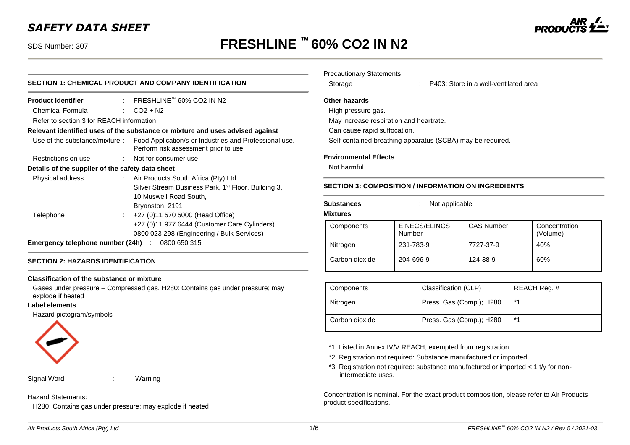## *SAFETY DATA SHEET*

# SDS Number: 307 **FRESHLINE ™ 60% CO2 IN N2**

| SECTION 1: CHEMICAL PRODUCT AND COMPANY IDENTIFICATION            |                          |                                                                                                                               |
|-------------------------------------------------------------------|--------------------------|-------------------------------------------------------------------------------------------------------------------------------|
| <b>Product Identifier</b>                                         |                          | $\cdot$ FRESHLINE™ 60% CO2 IN N2                                                                                              |
| Chemical Formula                                                  |                          | $\therefore$ CO2 + N2                                                                                                         |
| Refer to section 3 for REACH information                          |                          |                                                                                                                               |
|                                                                   |                          | Relevant identified uses of the substance or mixture and uses advised against                                                 |
|                                                                   |                          | Use of the substance/mixture: Food Application/s or Industries and Professional use.<br>Perform risk assessment prior to use. |
| Restrictions on use                                               |                          | : Not for consumer use                                                                                                        |
| Details of the supplier of the safety data sheet                  |                          |                                                                                                                               |
| Physical address                                                  |                          | : Air Products South Africa (Pty) Ltd.                                                                                        |
|                                                                   |                          | Silver Stream Business Park, 1 <sup>st</sup> Floor, Building 3,                                                               |
|                                                                   |                          | 10 Muswell Road South,                                                                                                        |
|                                                                   |                          | Bryanston, 2191                                                                                                               |
| Telephone                                                         | $\mathcal{L}_{\rm{max}}$ | +27 (0)11 570 5000 (Head Office)                                                                                              |
|                                                                   |                          | +27 (0)11 977 6444 (Customer Care Cylinders)                                                                                  |
|                                                                   |                          | 0800 023 298 (Engineering / Bulk Services)                                                                                    |
| <b>Emergency telephone number (24h)</b> $\therefore$ 0800 650 315 |                          |                                                                                                                               |
|                                                                   |                          |                                                                                                                               |

## **SECTION 2: HAZARDS IDENTIFICATION**

#### **Classification of the substance or mixture**

Gases under pressure – Compressed gas. H280: Contains gas under pressure; may explode if heated

#### **Label elements**

Hazard pictogram/symbols



Signal Word : Warning

#### Hazard Statements:

H280: Contains gas under pressure; may explode if heated

## Precautionary Statements: Storage : P403: Store in a well-ventilated area **Other hazards** High pressure gas. May increase respiration and heartrate. Can cause rapid suffocation. Self-contained breathing apparatus (SCBA) may be required. **Environmental Effects** Not harmful. **SECTION 3: COMPOSITION / INFORMATION ON INGREDIENTS Substances** : Not applicable **Mixtures** Components EINECS/ELINCS Number CAS Number Concentration (Volume) Nitrogen 231-783-9 7727-37-9 40% Carbon dioxide  $\begin{array}{|c|c|c|c|c|c|c|c|c|} \hline \end{array}$  204-696-9  $\begin{array}{|c|c|c|c|c|c|c|c|} \hline \end{array}$  124-38-9  $\begin{array}{|c|c|c|c|c|c|c|c|c|} \hline \end{array}$ Components Components Classification (CLP) REACH Reg. # Nitrogen Press. Gas (Comp.); H280 \*1 Carbon dioxide **Press.** Gas (Comp.): H280  $\vert$  \*1 \*1: Listed in Annex IV/V REACH, exempted from registration \*2: Registration not required: Substance manufactured or imported \*3: Registration not required: substance manufactured or imported < 1 t/y for nonintermediate uses.

Concentration is nominal. For the exact product composition, please refer to Air Products product specifications.

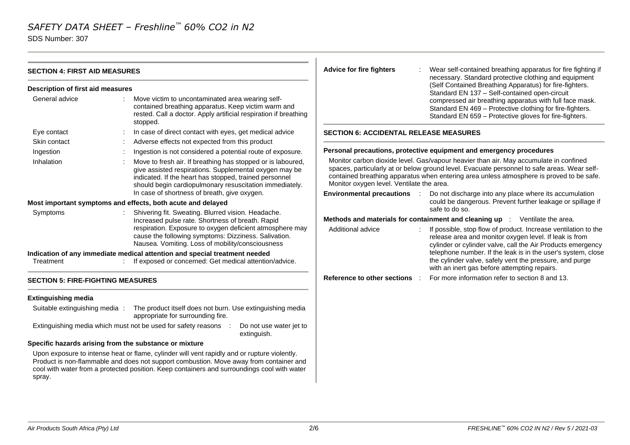SDS Number: 307

| <b>SECTION 4: FIRST AID MEASURES</b>                |                                                                                                                                                                                                                                                                                                                                               | <b>Advice for fire fighters</b>                                                                                                                                                                                                                                                                                               | Wear self-contained breathing apparatus for fire fighting if<br>necessary. Standard protective clothing and equipment                                                                                                                                                                     |  |
|-----------------------------------------------------|-----------------------------------------------------------------------------------------------------------------------------------------------------------------------------------------------------------------------------------------------------------------------------------------------------------------------------------------------|-------------------------------------------------------------------------------------------------------------------------------------------------------------------------------------------------------------------------------------------------------------------------------------------------------------------------------|-------------------------------------------------------------------------------------------------------------------------------------------------------------------------------------------------------------------------------------------------------------------------------------------|--|
| Description of first aid measures<br>General advice | Move victim to uncontaminated area wearing self-<br>contained breathing apparatus. Keep victim warm and<br>rested. Call a doctor. Apply artificial respiration if breathing<br>stopped.                                                                                                                                                       |                                                                                                                                                                                                                                                                                                                               | (Self Contained Breathing Apparatus) for fire-fighters.<br>Standard EN 137 - Self-contained open-circuit<br>compressed air breathing apparatus with full face mask.<br>Standard EN 469 - Protective clothing for fire-fighters.<br>Standard EN 659 - Protective gloves for fire-fighters. |  |
| Eye contact                                         | In case of direct contact with eyes, get medical advice                                                                                                                                                                                                                                                                                       | <b>SECTION 6: ACCIDENTAL RELEASE MEASURES</b>                                                                                                                                                                                                                                                                                 |                                                                                                                                                                                                                                                                                           |  |
| Skin contact                                        | Adverse effects not expected from this product                                                                                                                                                                                                                                                                                                |                                                                                                                                                                                                                                                                                                                               |                                                                                                                                                                                                                                                                                           |  |
| Ingestion                                           | Ingestion is not considered a potential route of exposure.                                                                                                                                                                                                                                                                                    |                                                                                                                                                                                                                                                                                                                               | Personal precautions, protective equipment and emergency procedures                                                                                                                                                                                                                       |  |
| Inhalation                                          | Move to fresh air. If breathing has stopped or is laboured,<br>give assisted respirations. Supplemental oxygen may be<br>indicated. If the heart has stopped, trained personnel<br>should begin cardiopulmonary resuscitation immediately.                                                                                                    | Monitor carbon dioxide level. Gas/vapour heavier than air. May accumulate in confined<br>spaces, particularly at or below ground level. Evacuate personnel to safe areas. Wear self-<br>contained breathing apparatus when entering area unless atmosphere is proved to be safe.<br>Monitor oxygen level. Ventilate the area. |                                                                                                                                                                                                                                                                                           |  |
|                                                     | In case of shortness of breath, give oxygen.                                                                                                                                                                                                                                                                                                  | <b>Environmental precautions</b>                                                                                                                                                                                                                                                                                              | Do not discharge into any place where its accumulation<br>could be dangerous. Prevent further leakage or spillage if                                                                                                                                                                      |  |
| Symptoms                                            | Most important symptoms and effects, both acute and delayed<br>Shivering fit. Sweating. Blurred vision. Headache.<br>Increased pulse rate. Shortness of breath. Rapid<br>respiration. Exposure to oxygen deficient atmosphere may<br>cause the following symptoms: Dizziness. Salivation.<br>Nausea. Vomiting. Loss of mobility/consciousness | Additional advice                                                                                                                                                                                                                                                                                                             | safe to do so.<br>Methods and materials for containment and cleaning up : Ventilate the area.<br>If possible, stop flow of product. Increase ventilation to the<br>release area and monitor oxygen level. If leak is from<br>cylinder or cylinder valve, call the Air Products emergency  |  |
| Treatment                                           | Indication of any immediate medical attention and special treatment needed<br>If exposed or concerned: Get medical attention/advice.                                                                                                                                                                                                          |                                                                                                                                                                                                                                                                                                                               | telephone number. If the leak is in the user's system, close<br>the cylinder valve, safely vent the pressure, and purge<br>with an inert gas before attempting repairs.                                                                                                                   |  |
| <b>SECTION 5: FIRE-FIGHTING MEASURES</b>            |                                                                                                                                                                                                                                                                                                                                               | Reference to other sections :                                                                                                                                                                                                                                                                                                 | For more information refer to section 8 and 13.                                                                                                                                                                                                                                           |  |
| <b>Extinguishing media</b>                          |                                                                                                                                                                                                                                                                                                                                               |                                                                                                                                                                                                                                                                                                                               |                                                                                                                                                                                                                                                                                           |  |
| Suitable extinguishing media :                      | The product itself does not burn. Use extinguishing media<br>appropriate for surrounding fire.                                                                                                                                                                                                                                                |                                                                                                                                                                                                                                                                                                                               |                                                                                                                                                                                                                                                                                           |  |
|                                                     | Extinguishing media which must not be used for safety reasons<br>Do not use water jet to<br>extinguish.                                                                                                                                                                                                                                       |                                                                                                                                                                                                                                                                                                                               |                                                                                                                                                                                                                                                                                           |  |
|                                                     | Specific hazards arising from the substance or mixture                                                                                                                                                                                                                                                                                        |                                                                                                                                                                                                                                                                                                                               |                                                                                                                                                                                                                                                                                           |  |
| spray.                                              | Upon exposure to intense heat or flame, cylinder will vent rapidly and or rupture violently.<br>Product is non-flammable and does not support combustion. Move away from container and<br>cool with water from a protected position. Keep containers and surroundings cool with water                                                         |                                                                                                                                                                                                                                                                                                                               |                                                                                                                                                                                                                                                                                           |  |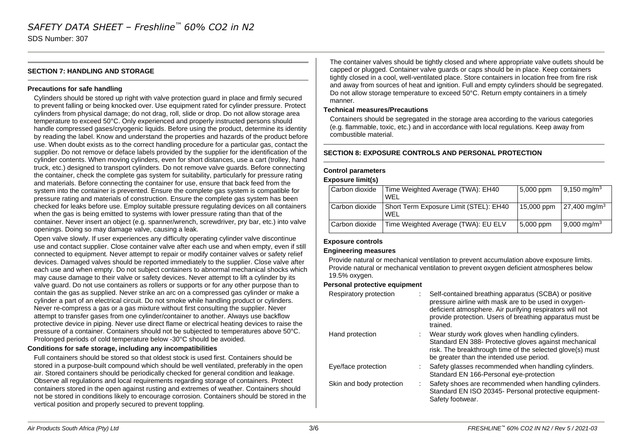SDS Number: 307

## **SECTION 7: HANDLING AND STORAGE**

## **Precautions for safe handling**

Cylinders should be stored up right with valve protection guard in place and firmly secured to prevent falling or being knocked over. Use equipment rated for cylinder pressure. Protect cylinders from physical damage; do not drag, roll, slide or drop. Do not allow storage area temperature to exceed 50°C. Only experienced and properly instructed persons should handle compressed gases/cryogenic liquids. Before using the product, determine its identity by reading the label. Know and understand the properties and hazards of the product before use. When doubt exists as to the correct handling procedure for a particular gas, contact the supplier. Do not remove or deface labels provided by the supplier for the identification of the cylinder contents. When moving cylinders, even for short distances, use a cart (trolley, hand truck, etc.) designed to transport cylinders. Do not remove valve guards. Before connecting the container, check the complete gas system for suitability, particularly for pressure rating and materials. Before connecting the container for use, ensure that back feed from the system into the container is prevented. Ensure the complete gas system is compatible for pressure rating and materials of construction. Ensure the complete gas system has been checked for leaks before use. Employ suitable pressure regulating devices on all containers when the gas is being emitted to systems with lower pressure rating than that of the container. Never insert an object (e.g. spanner/wrench, screwdriver, pry bar, etc.) into valve openings. Doing so may damage valve, causing a leak.

Open valve slowly. If user experiences any difficulty operating cylinder valve discontinue use and contact supplier. Close container valve after each use and when empty, even if still connected to equipment. Never attempt to repair or modify container valves or safety relief devices. Damaged valves should be reported immediately to the supplier. Close valve after each use and when empty. Do not subject containers to abnormal mechanical shocks which may cause damage to their valve or safety devices. Never attempt to lift a cylinder by its valve guard. Do not use containers as rollers or supports or for any other purpose than to contain the gas as supplied. Never strike an arc on a compressed gas cylinder or make a cylinder a part of an electrical circuit. Do not smoke while handling product or cylinders. Never re-compress a gas or a gas mixture without first consulting the supplier. Never attempt to transfer gases from one cylinder/container to another. Always use backflow protective device in piping. Never use direct flame or electrical heating devices to raise the pressure of a container. Containers should not be subjected to temperatures above 50°C. Prolonged periods of cold temperature below -30°C should be avoided.

## **Conditions for safe storage, including any incompatibilities**

Full containers should be stored so that oldest stock is used first. Containers should be stored in a purpose-built compound which should be well ventilated, preferably in the open air. Stored containers should be periodically checked for general condition and leakage. Observe all regulations and local requirements regarding storage of containers. Protect containers stored in the open against rusting and extremes of weather. Containers should not be stored in conditions likely to encourage corrosion. Containers should be stored in the vertical position and properly secured to prevent toppling.

The container valves should be tightly closed and where appropriate valve outlets should be capped or plugged. Container valve guards or caps should be in place. Keep containers tightly closed in a cool, well-ventilated place. Store containers in location free from fire risk and away from sources of heat and ignition. Full and empty cylinders should be segregated. Do not allow storage temperature to exceed 50°C. Return empty containers in a timely manner.

## **Technical measures/Precautions**

Containers should be segregated in the storage area according to the various categories (e.g. flammable, toxic, etc.) and in accordance with local regulations. Keep away from combustible material.

## **SECTION 8: EXPOSURE CONTROLS AND PERSONAL PROTECTION**

## **Control parameters**

## **Exposure limit(s)**

| Carbon dioxide | Time Weighted Average (TWA): EH40<br>WFL      | $5,000$ ppm | $9,150 \text{ mg/m}^3$    |
|----------------|-----------------------------------------------|-------------|---------------------------|
| Carbon dioxide | Short Term Exposure Limit (STEL): EH40<br>WFL | 15,000 ppm  | $27,400 \text{ mg/m}^3$   |
| Carbon dioxide | Time Weighted Average (TWA): EU ELV           | 5,000 ppm   | $9,000 \,\mathrm{mg/m^3}$ |

## **Exposure controls**

## **Engineering measures**

Provide natural or mechanical ventilation to prevent accumulation above exposure limits. Provide natural or mechanical ventilation to prevent oxygen deficient atmospheres below 19.5% oxygen.

## **Personal protective equipment**

| Respiratory protection   | pressure airline with mask are to be used in oxygen-<br>deficient atmosphere. Air purifying respirators will not<br>trained. | Self-contained breathing apparatus (SCBA) or positive<br>provide protection. Users of breathing apparatus must be  |
|--------------------------|------------------------------------------------------------------------------------------------------------------------------|--------------------------------------------------------------------------------------------------------------------|
| Hand protection          | Wear sturdy work gloves when handling cylinders.<br>be greater than the intended use period.                                 | Standard EN 388- Protective gloves against mechanical<br>risk. The breakthrough time of the selected glove(s) must |
| Eye/face protection      | Standard EN 166-Personal eye-protection                                                                                      | Safety glasses recommended when handling cylinders.                                                                |
| Skin and body protection | Safety footwear.                                                                                                             | Safety shoes are recommended when handling cylinders.<br>Standard EN ISO 20345- Personal protective equipment-     |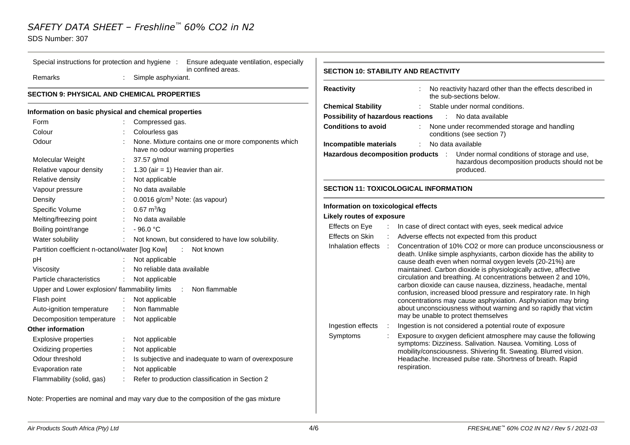## SDS Number: 307

| Special instructions for protection and hygiene :     | Ensure adequate ventilation, especially<br>in confined areas.                           | <b>SECTION 10: STABILITY AND REACTIVITY</b>                                                                                                                    |  |  |
|-------------------------------------------------------|-----------------------------------------------------------------------------------------|----------------------------------------------------------------------------------------------------------------------------------------------------------------|--|--|
| Remarks                                               | Simple asphyxiant.                                                                      |                                                                                                                                                                |  |  |
| <b>SECTION 9: PHYSICAL AND CHEMICAL PROPERTIES</b>    |                                                                                         | <b>Reactivity</b><br>No reactivity hazard other than the effects described in<br>the sub-sections below.                                                       |  |  |
| Information on basic physical and chemical properties |                                                                                         | <b>Chemical Stability</b><br>Stable under normal conditions.                                                                                                   |  |  |
| Form                                                  | Compressed gas.                                                                         | Possibility of hazardous reactions<br>: No data available                                                                                                      |  |  |
| Colour                                                | Colourless gas                                                                          | <b>Conditions to avoid</b><br>None under recommended storage and handling<br>conditions (see section 7)                                                        |  |  |
| Odour                                                 | None. Mixture contains one or more components which<br>have no odour warning properties | No data available<br>Incompatible materials                                                                                                                    |  |  |
| Molecular Weight                                      | 37.57 g/mol                                                                             | Hazardous decomposition products :<br>Under normal conditions of storage and use,<br>hazardous decomposition products should not be                            |  |  |
| Relative vapour density                               | 1.30 (air = 1) Heavier than air.                                                        | produced.                                                                                                                                                      |  |  |
| Relative density                                      | Not applicable                                                                          |                                                                                                                                                                |  |  |
| Vapour pressure                                       | No data available                                                                       | <b>SECTION 11: TOXICOLOGICAL INFORMATION</b>                                                                                                                   |  |  |
| Density                                               | $0.0016$ g/cm <sup>3</sup> Note: (as vapour)                                            |                                                                                                                                                                |  |  |
| Specific Volume                                       | $0.67 \text{ m}^3\text{/kg}$                                                            | Information on toxicological effects                                                                                                                           |  |  |
| Melting/freezing point                                | No data available                                                                       | <b>Likely routes of exposure</b>                                                                                                                               |  |  |
| Boiling point/range                                   | $-96.0 °C$                                                                              | In case of direct contact with eyes, seek medical advice<br>Effects on Eye                                                                                     |  |  |
| Water solubility                                      | Not known, but considered to have low solubility.                                       | Effects on Skin<br>Adverse effects not expected from this product                                                                                              |  |  |
| Partition coefficient n-octanol/water [log Kow]       | : Not known                                                                             | Concentration of 10% CO2 or more can produce unconsciousness or<br>Inhalation effects :<br>death. Unlike simple asphyxiants, carbon dioxide has the ability to |  |  |
| pH                                                    | Not applicable                                                                          | cause death even when normal oxygen levels (20-21%) are                                                                                                        |  |  |
| Viscosity                                             | No reliable data available                                                              | maintained. Carbon dioxide is physiologically active, affective                                                                                                |  |  |
| Particle characteristics                              | Not applicable                                                                          | circulation and breathing. At concentrations between 2 and 10%,                                                                                                |  |  |
| Upper and Lower explosion/ flammability limits        | Non flammable                                                                           | carbon dioxide can cause nausea, dizziness, headache, mental<br>confusion, increased blood pressure and respiratory rate. In high                              |  |  |
| Flash point                                           | Not applicable                                                                          | concentrations may cause asphyxiation. Asphyxiation may bring                                                                                                  |  |  |
| Auto-ignition temperature                             | Non flammable                                                                           | about unconsciousness without warning and so rapidly that victim                                                                                               |  |  |
| Decomposition temperature :                           | Not applicable                                                                          | may be unable to protect themselves                                                                                                                            |  |  |
| <b>Other information</b>                              |                                                                                         | Ingestion effects<br>Ingestion is not considered a potential route of exposure                                                                                 |  |  |
| Explosive properties                                  | Not applicable                                                                          | Exposure to oxygen deficient atmosphere may cause the following<br>Symptoms<br>symptoms: Dizziness. Salivation. Nausea. Vomiting. Loss of                      |  |  |
| Oxidizing properties                                  | Not applicable                                                                          | mobility/consciousness. Shivering fit. Sweating. Blurred vision.                                                                                               |  |  |
| Odour threshold                                       | Is subjective and inadequate to warn of overexposure                                    | Headache. Increased pulse rate. Shortness of breath. Rapid                                                                                                     |  |  |
| Evaporation rate                                      | Not applicable                                                                          | respiration.                                                                                                                                                   |  |  |
| Flammability (solid, gas)                             | Refer to production classification in Section 2                                         |                                                                                                                                                                |  |  |
|                                                       | Note: Properties are nominal and may vary due to the composition of the gas mixture     |                                                                                                                                                                |  |  |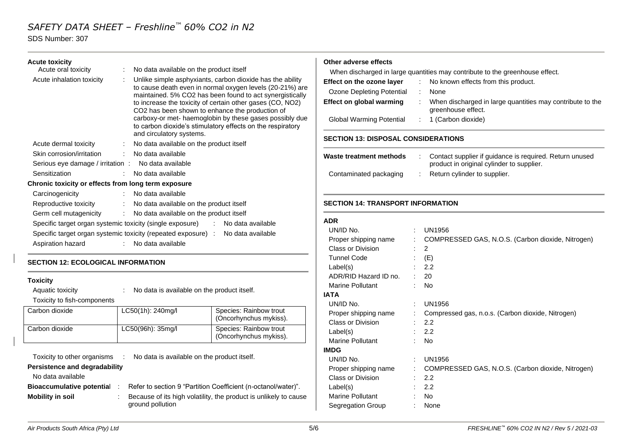SDS Number: 307

## **Acute toxicity**

| Acute oral toxicity                                 | No data available on the product itself                                                                                                                                                                                                                                                                                                                                                                                                                            |
|-----------------------------------------------------|--------------------------------------------------------------------------------------------------------------------------------------------------------------------------------------------------------------------------------------------------------------------------------------------------------------------------------------------------------------------------------------------------------------------------------------------------------------------|
| Acute inhalation toxicity                           | Unlike simple asphyxiants, carbon dioxide has the ability<br>to cause death even in normal oxygen levels (20-21%) are<br>maintained. 5% CO2 has been found to act synergistically<br>to increase the toxicity of certain other gases (CO, NO2)<br>CO <sub>2</sub> has been shown to enhance the production of<br>carboxy-or met- haemoglobin by these gases possibly due<br>to carbon dioxide's stimulatory effects on the respiratory<br>and circulatory systems. |
| Acute dermal toxicity                               | : No data available on the product itself                                                                                                                                                                                                                                                                                                                                                                                                                          |
| Skin corrosion/irritation                           | : No data available                                                                                                                                                                                                                                                                                                                                                                                                                                                |
| Serious eye damage / irritation : No data available |                                                                                                                                                                                                                                                                                                                                                                                                                                                                    |
| Sensitization                                       | : No data available                                                                                                                                                                                                                                                                                                                                                                                                                                                |
| Chronic toxicity or effects from long term exposure |                                                                                                                                                                                                                                                                                                                                                                                                                                                                    |
| Carcinogenicity                                     | : No data available                                                                                                                                                                                                                                                                                                                                                                                                                                                |
| Reproductive toxicity                               | : No data available on the product itself                                                                                                                                                                                                                                                                                                                                                                                                                          |
|                                                     | Germ cell mutagenicity : No data available on the product itself                                                                                                                                                                                                                                                                                                                                                                                                   |
| Aspiration hazard                                   | Specific target organ systemic toxicity (single exposure) : No data available<br>Specific target organ systemic toxicity (repeated exposure) : No data available<br>: No data available                                                                                                                                                                                                                                                                            |
|                                                     |                                                                                                                                                                                                                                                                                                                                                                                                                                                                    |

## **SECTION 12: ECOLOGICAL INFORMATION**

#### **Toxicity**

Aquatic toxicity : No data is available on the product itself.

Toxicity to fish-components

| Carbon dioxide | LC50(1h): 240mg/l | Species: Rainbow trout<br>(Oncorhynchus mykiss). |
|----------------|-------------------|--------------------------------------------------|
| Carbon dioxide | LC50(96h): 35mg/l | Species: Rainbow trout<br>(Oncorhynchus mykiss). |

Toxicity to other organisms : No data is available on the product itself.

## **Persistence and degradability**

No data available

| Bioaccumulative potential: | Refer to section 9 "Partition Coefficient (n-octanol/water)".                        |
|----------------------------|--------------------------------------------------------------------------------------|
| <b>Mobility in soil</b>    | Because of its high volatility, the product is unlikely to cause<br>ground pollution |

## **Other adverse effects**

When discharged in large quantities may contribute to the greenhouse effect.

| Effect on the ozone layer | No known effects from this product.                                             |
|---------------------------|---------------------------------------------------------------------------------|
| Ozone Depleting Potential | None                                                                            |
| Effect on global warming  | When discharged in large quantities may contribute to the<br>greenhouse effect. |
| Global Warming Potential  | $: 1$ (Carbon dioxide)                                                          |

## **SECTION 13: DISPOSAL CONSIDERATIONS**

| Waste treatment methods | Contact supplier if guidance is required. Return unused<br>product in original cylinder to supplier. |
|-------------------------|------------------------------------------------------------------------------------------------------|
| Contaminated packaging  | Return cylinder to supplier.                                                                         |

## **SECTION 14: TRANSPORT INFORMATION**

| ۰, |  |
|----|--|

| UN/ID No.             |   | UN1956                                            |
|-----------------------|---|---------------------------------------------------|
| Proper shipping name  | ÷ | COMPRESSED GAS, N.O.S. (Carbon dioxide, Nitrogen) |
| Class or Division     |   | 2                                                 |
| <b>Tunnel Code</b>    |   | (E)                                               |
| Label(s)              |   | 2.2                                               |
| ADR/RID Hazard ID no. |   | 20                                                |
| Marine Pollutant      |   | <b>No</b>                                         |
| <b>IATA</b>           |   |                                                   |
| UN/ID No.             | ÷ | UN1956                                            |
| Proper shipping name  |   | Compressed gas, n.o.s. (Carbon dioxide, Nitrogen) |
| Class or Division     |   | 2.2                                               |
| Label(s)              |   | 2.2                                               |
| Marine Pollutant      |   | No                                                |
| <b>IMDG</b>           |   |                                                   |
| UN/ID No.             |   | UN1956                                            |
| Proper shipping name  | ÷ | COMPRESSED GAS, N.O.S. (Carbon dioxide, Nitrogen) |
| Class or Division     |   | 2.2                                               |
| Label(s)              |   | 2.2                                               |
| Marine Pollutant      |   | No                                                |
| Segregation Group     |   | None                                              |
|                       |   |                                                   |